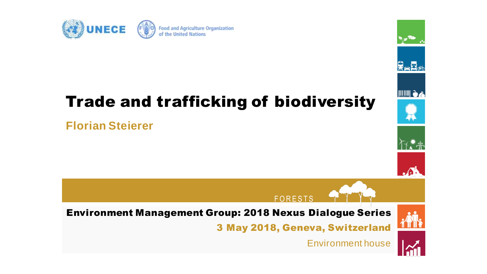

### Trade and trafficking of biodiversity

### **Florian Steierer**



Environment house



ਉ<sub>≋</sub>R∞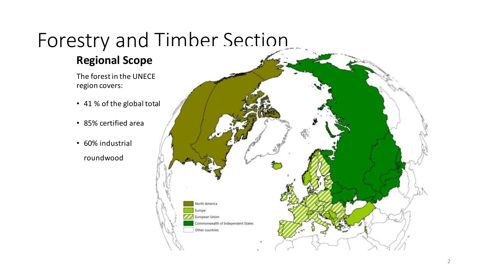# Forestry and Timber Section

### **Regional Scope**

The forest in the UNECE region covers:

- 41 % of the global total
- 85% certified area
- 60% industrial roundwood

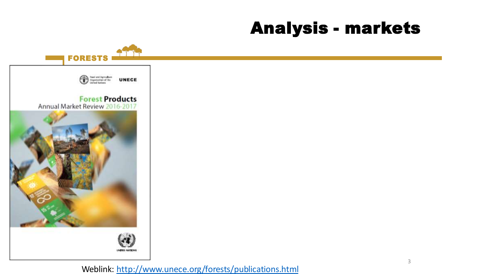### Analysis - markets



Weblink: <http://www.unece.org/forests/publications.html>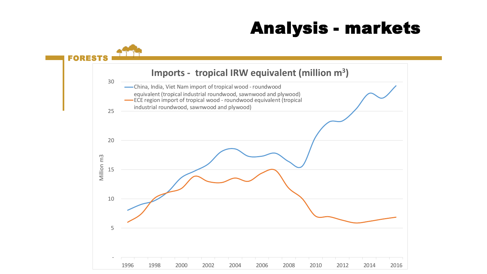### Analysis - markets

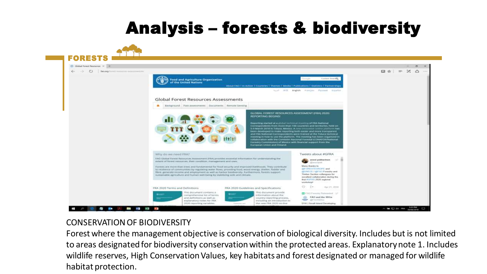### Analysis – forests & biodiversity



#### CONSERVATION OF BIODIVERSITY

Forest where the management objective is conservation of biological diversity. Includes but is not limited to areas designated for biodiversity conservation within the protected areas. Explanatory note 1. Includes wildlife reserves, High Conservation Values, key habitats and forest designated or managed for wildlife habitat protection.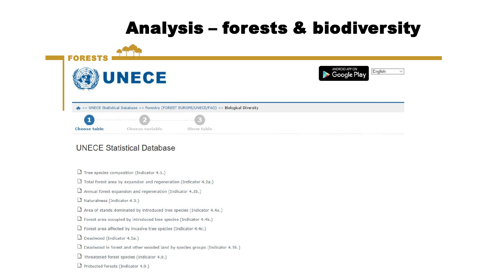### Analysis – forests & biodiversity



#### **UNECE Statistical Database**

 $\Box$  Tree species composition (Indicator 4.1.)

 $\Box$  Total forest area by expansion and regeneration (Indicator 4.2a.)

 $\Box$  Annual forest expansion and regeneration (Indicator 4.2b.)

Naturalness (Indicator 4.3.)

Area of stands dominated by introduced tree species (Indicator 4.4a.)

 $\Box$  Forest area occupied by introduced tree species (Indicator 4.4b.)

 $\Box$  Forest area affected by invasive tree species (Indicator 4.4c.)

 $\Box$  Deadwood (Indicator 4.5a.)

 $\Box$  Deadwood in forest and other wooded land by species groups (Indicator 4.5b.)

 $\Box$  Threatened forest species (Indicator 4.8.)

 $\Box$  Protected forests (Indicator 4.9.)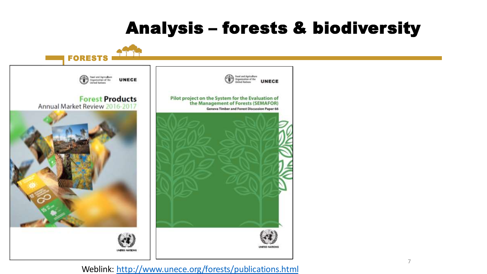### Analysis – forests & biodiversity



#### Weblink: <http://www.unece.org/forests/publications.html>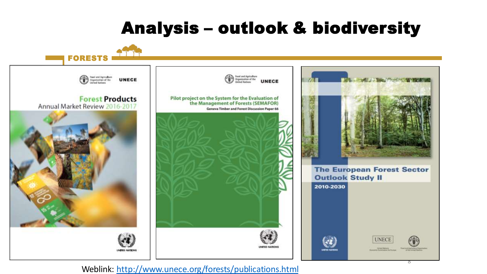### Analysis – outlook & biodiversity



#### Weblink: <http://www.unece.org/forests/publications.html>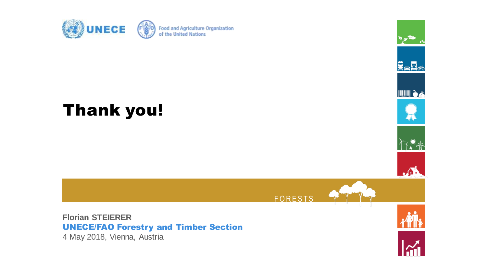

### Thank you!





**FORESTS** 

**Florian STEIERER** UNECE/FAO Forestry and Timber Section 4 May 2018, Vienna, Austria

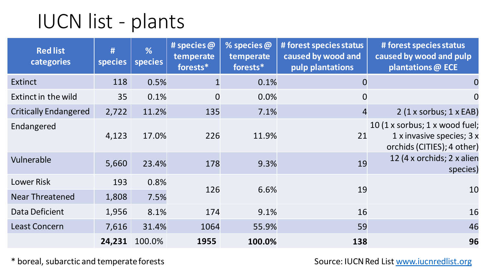# IUCN list - plants

| <b>Red list</b><br>categories | #<br><b>species</b> | %<br>species | # species $\omega$<br>temperate<br>forests* | % species $\omega$<br>temperate<br>forests* | # forest species status<br>caused by wood and<br>pulp plantations | # forest species status<br>caused by wood and pulp<br>plantations @ ECE                   |
|-------------------------------|---------------------|--------------|---------------------------------------------|---------------------------------------------|-------------------------------------------------------------------|-------------------------------------------------------------------------------------------|
| <b>Extinct</b>                | 118                 | 0.5%         |                                             | 0.1%                                        | $\bf{0}$                                                          | $\bf{0}$                                                                                  |
| Extinct in the wild           | 35                  | 0.1%         | $\overline{0}$                              | 0.0%                                        | $\overline{0}$                                                    | $\mathbf 0$                                                                               |
| <b>Critically Endangered</b>  | 2,722               | 11.2%        | 135                                         | 7.1%                                        | $\overline{4}$                                                    | $2(1 \times$ sorbus; $1 \times$ EAB)                                                      |
| Endangered                    | 4,123               | 17.0%        | 226                                         | 11.9%                                       | 21                                                                | 10 (1 x sorbus; 1 x wood fuel;<br>1 x invasive species; 3 x<br>orchids (CITIES); 4 other) |
| Vulnerable                    | 5,660               | 23.4%        | 178                                         | 9.3%                                        | 19                                                                | 12 (4 x orchids; 2 x alien<br>species)                                                    |
| <b>Lower Risk</b>             | 193                 | 0.8%         | 126                                         | 6.6%                                        | 19                                                                | 10                                                                                        |
| <b>Near Threatened</b>        | 1,808               | 7.5%         |                                             |                                             |                                                                   |                                                                                           |
| Data Deficient                | 1,956               | 8.1%         | 174                                         | 9.1%                                        | 16                                                                | 16                                                                                        |
| <b>Least Concern</b>          | 7,616               | 31.4%        | 1064                                        | 55.9%                                       | 59                                                                | 46                                                                                        |
|                               | 24,231              | 100.0%       | 1955                                        | 100.0%                                      | 138                                                               | 96                                                                                        |

\* boreal, subarctic and temperate forests Source: IUCN Red List [www.iucnredlist.org](http://www.iucnredlist.org/)